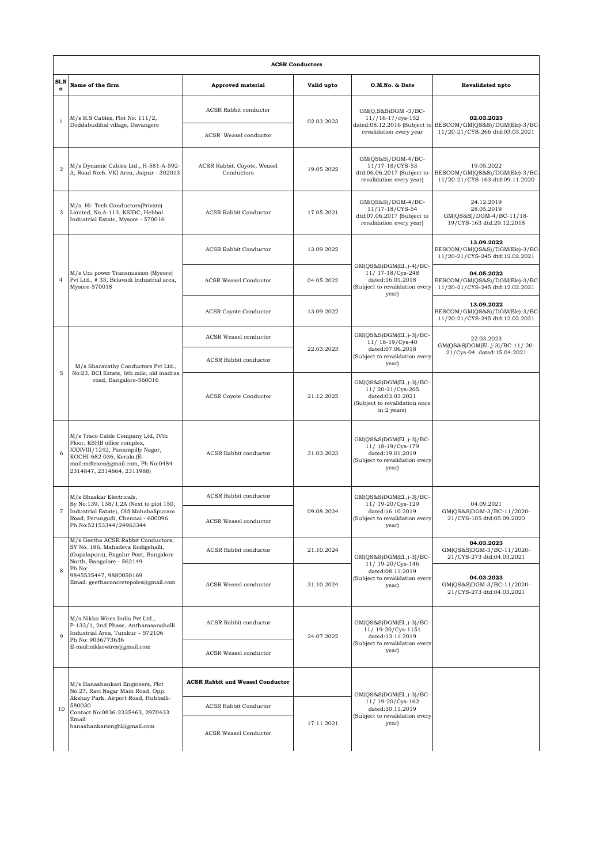| S1.N           |                                                                                                                                                                                                                           |                                           |            |                                                                                                                  |                                                                                                              |
|----------------|---------------------------------------------------------------------------------------------------------------------------------------------------------------------------------------------------------------------------|-------------------------------------------|------------|------------------------------------------------------------------------------------------------------------------|--------------------------------------------------------------------------------------------------------------|
| $\mathbf{o}$   | Name of the firm                                                                                                                                                                                                          | <b>Approved material</b>                  | Valid upto | O.M.No. & Date                                                                                                   | <b>Revalidated upto</b>                                                                                      |
| 1              | $M/s$ R.S Cables, Plot No: $111/2$ ,<br>Doddabudihal village, Davangere                                                                                                                                                   | ACSR Rabbit conductor                     | 02.03.2023 | $GM(Q, S&S)DGM -3/BC-$<br>$11//16-17/cys-152$                                                                    | 02.03.2023<br>dated:08.12.2016 (Subject to BESCOM/GM(QS&S)/DGM(Ele)-3/BC-<br>11/20-21/CYS-266 dtd:03.03.2021 |
|                |                                                                                                                                                                                                                           | ACSR Weasel conductor                     |            | revalidation every year                                                                                          |                                                                                                              |
| $\overline{2}$ | M/s Dynamic Cables Ltd., H-581-A-592-<br>A, Road No:6. VKI Area, Jaipur - 302013                                                                                                                                          | ACSR Rabbit, Coyote, Weasel<br>Conductors | 19.05.2022 | GM(QS&S)/DGM-4/BC-<br>11/17-18/CYS-53<br>dtd:06.06.2017 (Subject to<br>revalidation every year)                  | 19.05.2022<br>BESCOM/GM(QS&S)/DGM(Ele)-3/BC-<br>11/20-21/CYS-163 dtd:09.11.2020                              |
| 3              | M/s Hi-Tech Conductors(Private)<br>Limited, No.A-113, KSIDC, Hebbal<br>Industrial Estate, Mysore - 570016                                                                                                                 | <b>ACSR Rabbit Conductor</b>              | 17.05.2021 | GM(QS&S)/DGM-4/BC-<br>11/17-18/CYS-54<br>dtd:07.06.2017 (Subject to<br>revalidation every year)                  | 24.12.2019<br>28.05.2019<br>GM(QS&S)/DGM-4/BC-11/18-<br>19/CYS-163 dtd:29.12.2018                            |
| $\overline{4}$ | M/s Uni power Transmission (Mysore)<br>Pvt Ltd., # 33, Belavadi Industrial area,<br>Mysore-570018                                                                                                                         | <b>ACSR Rabbit Conductor</b>              | 13.09.2022 | $GM(QS&S)DGM(E1, -4)/BC-$<br>11/ 17-18/Cys-248<br>dated:16.01.2018<br>(Subject to revalidation every<br>year)    | 13.09.2022<br>BESCOM/GM(QS&S)/DGM(Ele)-3/BC<br>11/20-21/CYS-245 dtd:12.02.2021                               |
|                |                                                                                                                                                                                                                           | <b>ACSR Weasel Conductor</b>              | 04.05.2022 |                                                                                                                  | 04.05.2022<br>BESCOM/GM(QS&S)/DGM(Ele)-3/BC-<br>11/20-21/CYS-245 dtd:12.02.2021                              |
|                |                                                                                                                                                                                                                           | <b>ACSR</b> Coyote Conductor              | 13.09.2022 |                                                                                                                  | 13.09.2022<br>BESCOM/GM(QS&S)/DGM(Ele)-3/BC-<br>11/20-21/CYS-245 dtd:12.02.2021                              |
| 5              | M/s Sharavathy Conductors Pvt Ltd.,<br>No:23, BCI Estate, 6th mile, old madras<br>road, Bangalore-560016                                                                                                                  | <b>ACSR</b> Weasel conductor              |            | GM(QS&S)DGM(El.,)-3)/BC-<br>11/ 18-19/Cys-40                                                                     | 22.03.2023<br>GM(QS&S)DGM(El.,)-3)/BC-11/20-<br>21/Cys-04 dated:15.04.2021                                   |
|                |                                                                                                                                                                                                                           | ACSR Rabbit conductor                     | 22.03.2023 | dated:07.06.2018<br>(Subject to revalidation every<br>year)                                                      |                                                                                                              |
|                |                                                                                                                                                                                                                           | <b>ACSR Coyote Conductor</b>              | 21.12.2025 | GM(QS&S)DGM(El.,)-3)/BC-<br>11/20-21/Cys-265<br>dated:03.03.2021<br>(Subject to revalidation once<br>in 2 years) |                                                                                                              |
| 6              | M/s Traco Cable Company Ltd, IVth<br>Floor, KSHB office complex,<br>XXXVIII/1242, Panampilly Nagar,<br>KOCHI-682 036, Kerala.(E-<br>mail:mdtraco@gmail.com, Ph No:0484<br>2314847, 2314864, 2311988)                      | ACSR Rabbit conductor                     | 31.03.2023 | $GM(QS&S)DGM(E1, 0-3)/BC-$<br>11/ 18-19/Cys-179<br>dated:19.01.2019<br>(Subject to revalidation every<br>year)   |                                                                                                              |
| 7              | M/s Bhaskar Electricals,<br>Sy No:139, 138/1,2A (Next to plot 150,<br>Industrial Estate), Old Mahabalipuram<br>Road, Perungudi, Chennai - 600096<br>Ph No:52153344/24963344                                               | <b>ACSR Rabbit conductor</b>              |            | GM(QS&S)DGM(El.,)-3)/BC-                                                                                         | 04.09.2021<br>GM(QS&S)DGM-3/BC-11/2020-<br>21/CYS-105 dtd:05.09.2020                                         |
|                |                                                                                                                                                                                                                           | ACSR Weasel conductor                     | 09.08.2024 | 11/19-20/Cys-129<br>dated:16.10.2019<br>(Subject to revalidation every<br>year)                                  |                                                                                                              |
| 8              | M/s Geetha ACSR Rabbit Conductors,<br>SY No. 186, Mahadeva Kodigehalli,<br>(Gopalapura), Bagalur Post, Bangalore<br>North, Bangalore - 562149<br>Ph No:<br>9845535447, 9880050169<br>Email: geethaconcretepoles@gmail.com | ACSR Rabbit conductor                     | 21.10.2024 | GM(QS&S)DGM(El.,)-3)/BC-                                                                                         | 04.03.2023<br>GM(QS&S)DGM-3/BC-11/2020-<br>21/CYS-273 dtd:04.03.2021                                         |
|                |                                                                                                                                                                                                                           | <b>ACSR</b> Weasel conductor              | 31.10.2024 | 11/19-20/Cys-146<br>dated:08.11.2019<br>(Subject to revalidation every<br>year)                                  | 04.03.2023<br>GM(QS&S)DGM-3/BC-11/2020-<br>21/CYS-273 dtd:04.03.2021                                         |
| $\mathbf{Q}$   | M/s Nikko Wires India Pvt Ltd.,<br>P-133/1, 2nd Phase, Antharasanahalli<br>Industrial Area, Tumkur - 572106<br>Ph No: 9036773636<br>E-mail:nikkowires@gmail.com                                                           | ACSR Rabbit conductor                     | 24.07.2022 | GM(QS&S)DGM(El.,)-3)/BC-<br>11/ 19-20/Cys-1151<br>dated:13.11.2019<br>(Subject to revalidation every<br>year)    |                                                                                                              |
|                |                                                                                                                                                                                                                           | ACSR Weasel conductor                     |            |                                                                                                                  |                                                                                                              |
| 10             | M/s Banashankari Engineers, Plot<br>No.27, Ravi Nagar Main Road, Opp.<br>Akshay Park, Airport Road, Hubballi-<br>580030<br>Contact No:0836-2335463, 2970433<br>Email:<br>banashankarienghl@gmail.com                      | <b>ACSR Rabbit and Weasel Conductor</b>   |            | $GM(QS&S)DGM(E1, -3)/BC-$                                                                                        |                                                                                                              |
|                |                                                                                                                                                                                                                           | <b>ACSR Rabbit Conductor</b>              |            | 11/19-20/Cys-162<br>dated:30.11.2019<br>(Subject to revalidation every                                           |                                                                                                              |
|                |                                                                                                                                                                                                                           | ACSR Weasel Conductor                     | 17.11.2021 | year)                                                                                                            |                                                                                                              |